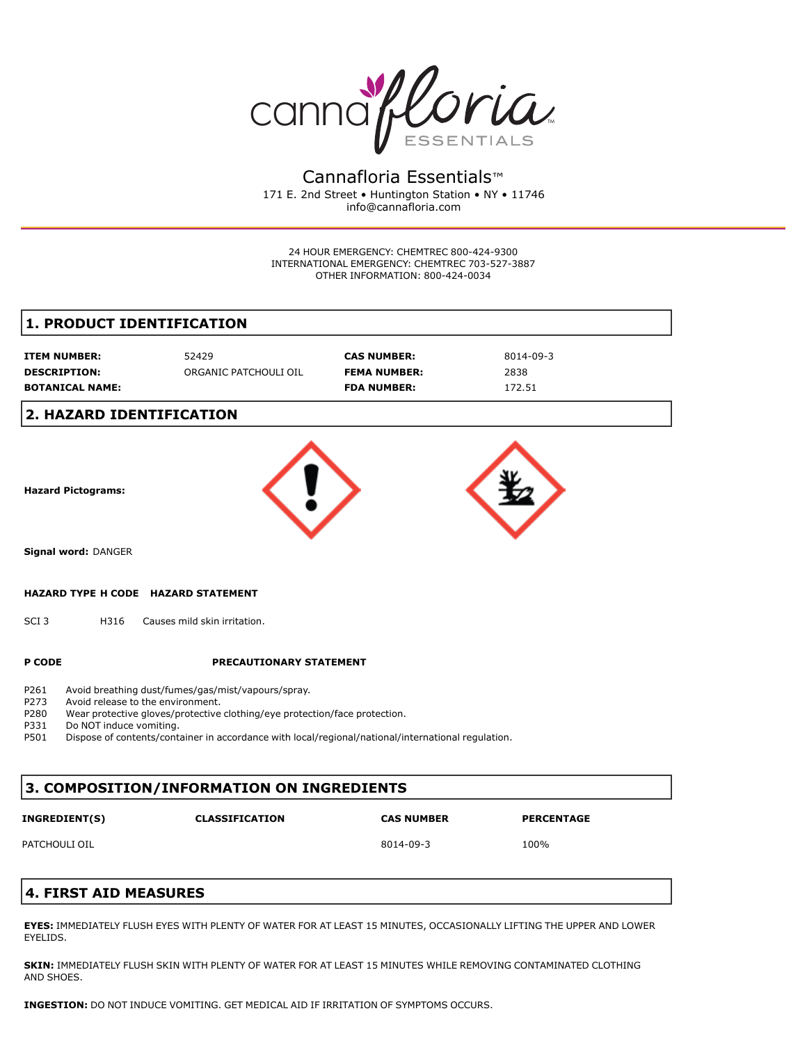

Cannafloria Essentials™ 171 E. 2nd Street • Huntington Station • NY • 11746 info@cannafloria.com

24 HOUR EMERGENCY: CHEMTREC 800-424-9300 INTERNATIONAL EMERGENCY: CHEMTREC 703-527-3887 OTHER INFORMATION: 800-424-0034

## **1. PRODUCT IDENTIFICATION**

| <b>ITEM NUMBER:</b>    | 52429                 | <b>CAS NUMBER:</b>  | 8014-09-3 |
|------------------------|-----------------------|---------------------|-----------|
| <b>DESCRIPTION:</b>    | ORGANIC PATCHOULI OIL | <b>FEMA NUMBER:</b> | 2838      |
| <b>BOTANICAL NAME:</b> |                       | <b>FDA NUMBER:</b>  | 172.51    |

## **2. HAZARD IDENTIFICATION**



### **3. COMPOSITION/INFORMATION ON INGREDIENTS**

| <b>INGREDIENT(S)</b> | <b>CLASSIFICATION</b> | <b>CAS NUMBER</b> | <b>PERCENTAGE</b> |
|----------------------|-----------------------|-------------------|-------------------|
| PATCHOULI OIL        |                       | 8014-09-3         | 100%              |

# **4. FIRST AID MEASURES**

**EYES:** IMMEDIATELY FLUSH EYES WITH PLENTY OF WATER FOR AT LEAST 15 MINUTES, OCCASIONALLY LIFTING THE UPPER AND LOWER EYELIDS.

**SKIN:** IMMEDIATELY FLUSH SKIN WITH PLENTY OF WATER FOR AT LEAST 15 MINUTES WHILE REMOVING CONTAMINATED CLOTHING AND SHOES.

**INGESTION:** DO NOT INDUCE VOMITING. GET MEDICAL AID IF IRRITATION OF SYMPTOMS OCCURS.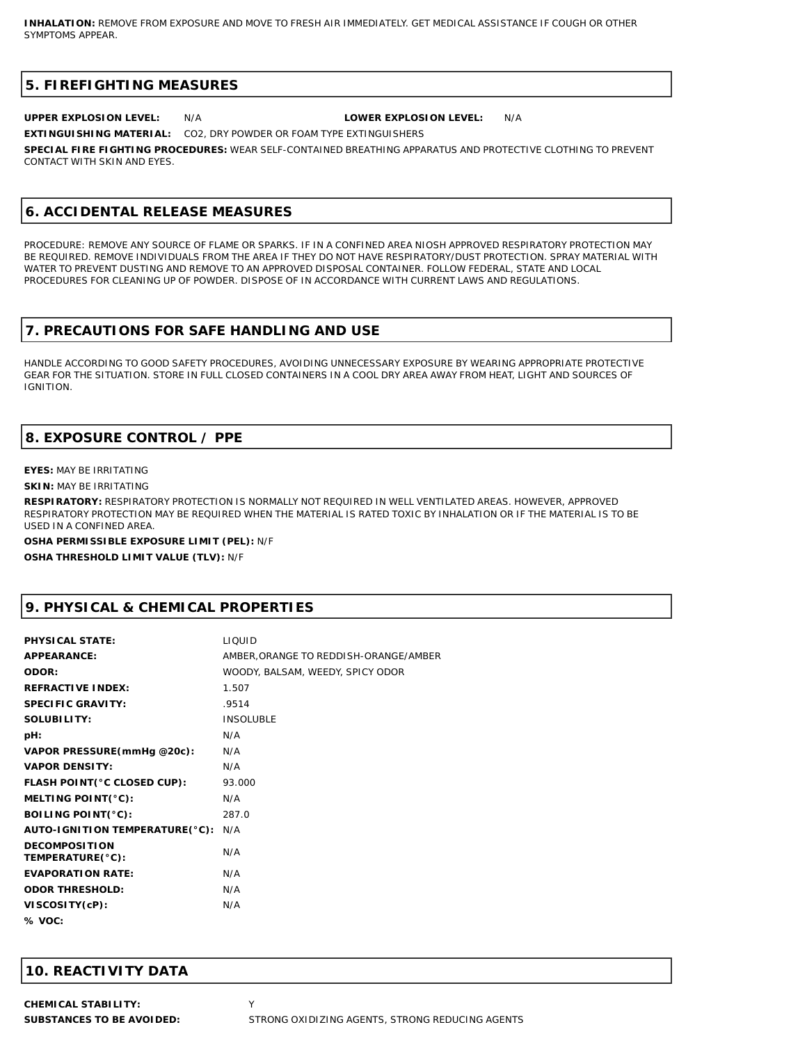### **5. FIREFIGHTING MEASURES**

**UPPER EXPLOSION LEVEL:** N/A **LOWER EXPLOSION LEVEL:** N/A

**EXTINGUISHING MATERIAL:** CO2, DRY POWDER OR FOAM TYPE EXTINGUISHERS

**SPECIAL FIRE FIGHTING PROCEDURES:** WEAR SELF-CONTAINED BREATHING APPARATUS AND PROTECTIVE CLOTHING TO PREVENT CONTACT WITH SKIN AND EYES.

## **6. ACCIDENTAL RELEASE MEASURES**

PROCEDURE: REMOVE ANY SOURCE OF FLAME OR SPARKS. IF IN A CONFINED AREA NIOSH APPROVED RESPIRATORY PROTECTION MAY BE REQUIRED. REMOVE INDIVIDUALS FROM THE AREA IF THEY DO NOT HAVE RESPIRATORY/DUST PROTECTION. SPRAY MATERIAL WITH WATER TO PREVENT DUSTING AND REMOVE TO AN APPROVED DISPOSAL CONTAINER. FOLLOW FEDERAL, STATE AND LOCAL PROCEDURES FOR CLEANING UP OF POWDER. DISPOSE OF IN ACCORDANCE WITH CURRENT LAWS AND REGULATIONS.

## **7. PRECAUTIONS FOR SAFE HANDLING AND USE**

HANDLE ACCORDING TO GOOD SAFETY PROCEDURES, AVOIDING UNNECESSARY EXPOSURE BY WEARING APPROPRIATE PROTECTIVE GEAR FOR THE SITUATION. STORE IN FULL CLOSED CONTAINERS IN A COOL DRY AREA AWAY FROM HEAT, LIGHT AND SOURCES OF IGNITION.

# **8. EXPOSURE CONTROL / PPE**

#### **EYES:** MAY BE IRRITATING

**SKIN:** MAY BE IRRITATING

**RESPIRATORY:** RESPIRATORY PROTECTION IS NORMALLY NOT REQUIRED IN WELL VENTILATED AREAS. HOWEVER, APPROVED RESPIRATORY PROTECTION MAY BE REQUIRED WHEN THE MATERIAL IS RATED TOXIC BY INHALATION OR IF THE MATERIAL IS TO BE USED IN A CONFINED AREA.

**OSHA PERMISSIBLE EXPOSURE LIMIT (PEL):** N/F **OSHA THRESHOLD LIMIT VALUE (TLV):** N/F

# **9. PHYSICAL & CHEMICAL PROPERTIES**

| PHYSICAL STATE:                          | <b>LIQUID</b>                         |
|------------------------------------------|---------------------------------------|
| APPEARANCE:                              | AMBER, ORANGE TO REDDISH-ORANGE/AMBER |
| ODOR:                                    | WOODY, BALSAM, WEEDY, SPICY ODOR      |
| REFRACTIVE INDEX:                        | 1.507                                 |
| SPECIFIC GRAVITY:                        | .9514                                 |
| SOLUBILITY:                              | <b>INSOLUBLE</b>                      |
| pH:                                      | N/A                                   |
| VAPOR PRESSURE (mmHg @20c):              | N/A                                   |
| <b>VAPOR DENSITY:</b>                    | N/A                                   |
| FLASH POINT(°C CLOSED CUP):              | 93.000                                |
| MELTING POINT(°C):                       | N/A                                   |
| BOILING POINT(°C):                       | 287.0                                 |
| AUTO-IGNITION TEMPERATURE(°C):           | N/A                                   |
| <b>DECOMPOSITION</b><br>TEMPERATURE(°C): | N/A                                   |
| EVAPORATION RATE:                        | N/A                                   |
| <b>ODOR THRESHOLD:</b>                   | N/A                                   |
| VISCOSITY(cP):                           | N/A                                   |
| % VOC:                                   |                                       |

# **10. REACTIVITY DATA**

**CHEMICAL STABILITY:** Y